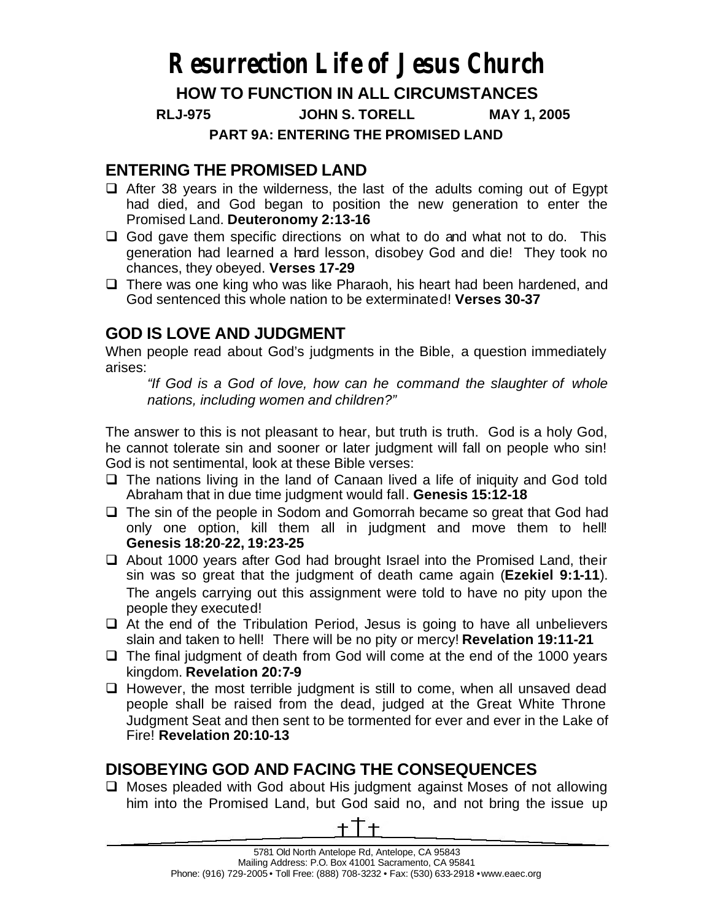# **Resurrection Life of Jesus Church**

## **HOW TO FUNCTION IN ALL CIRCUMSTANCES**

**RLJ-975 JOHN S. TORELL MAY 1, 2005**

**PART 9A: ENTERING THE PROMISED LAND**

## **ENTERING THE PROMISED LAND**

- $\Box$  After 38 years in the wilderness, the last of the adults coming out of Egypt had died, and God began to position the new generation to enter the Promised Land. **Deuteronomy 2:13-16**
- $\Box$  God gave them specific directions on what to do and what not to do. This generation had learned a hard lesson, disobey God and die! They took no chances, they obeyed. **Verses 17-29**
- $\Box$  There was one king who was like Pharaoh, his heart had been hardened, and God sentenced this whole nation to be exterminated! **Verses 30-37**

# **GOD IS LOVE AND JUDGMENT**

When people read about God's judgments in the Bible, a question immediately arises:

*"If God is a God of love, how can he command the slaughter of whole nations, including women and children?"*

The answer to this is not pleasant to hear, but truth is truth. God is a holy God, he cannot tolerate sin and sooner or later judgment will fall on people who sin! God is not sentimental, look at these Bible verses:

- $\Box$  The nations living in the land of Canaan lived a life of iniquity and God told Abraham that in due time judgment would fall. **Genesis 15:12-18**
- $\Box$  The sin of the people in Sodom and Gomorrah became so great that God had only one option, kill them all in judgment and move them to hell! **Genesis 18:20**-**22, 19:23-25**
- $\Box$  About 1000 years after God had brought Israel into the Promised Land, their sin was so great that the judgment of death came again (**Ezekiel 9:1-11**). The angels carrying out this assignment were told to have no pity upon the people they executed!
- $\Box$  At the end of the Tribulation Period, Jesus is going to have all unbelievers slain and taken to hell! There will be no pity or mercy! **Revelation 19:11-21**
- $\Box$  The final judgment of death from God will come at the end of the 1000 years kingdom. **Revelation 20:7-9**
- $\Box$  However, the most terrible judgment is still to come, when all unsaved dead people shall be raised from the dead, judged at the Great White Throne Judgment Seat and then sent to be tormented for ever and ever in the Lake of Fire! **Revelation 20:10-13**

# **DISOBEYING GOD AND FACING THE CONSEQUENCES**

 $\Box$  Moses pleaded with God about His judgment against Moses of not allowing him into the Promised Land, but God said no, and not bring the issue up